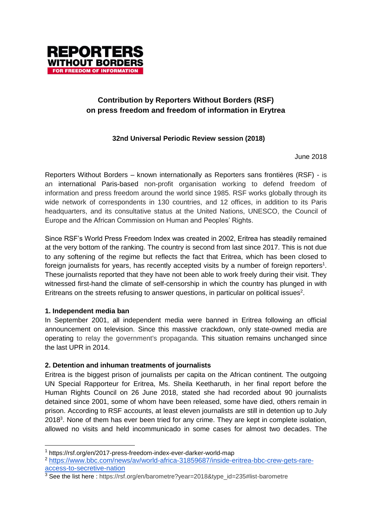

# **Contribution by Reporters Without Borders (RSF) on press freedom and freedom of information in Erytrea**

# **32nd Universal Periodic Review session (2018)**

June 2018

Reporters Without Borders – known internationally as Reporters sans frontières (RSF) - is an international Paris-based non-profit organisation working to defend freedom of information and press freedom around the world since 1985. RSF works globally through its wide network of correspondents in 130 countries, and 12 offices, in addition to its Paris headquarters, and its consultative status at the United Nations, UNESCO, the Council of Europe and the African Commission on Human and Peoples' Rights.

Since RSF's World Press Freedom Index was created in 2002, Eritrea has steadily remained at the very bottom of the ranking. The country is second from last since 2017. This is not due to any softening of the regime but reflects the fact that Eritrea, which has been closed to foreign journalists for years, has recently accepted visits by a number of foreign reporters<sup>1</sup>. These journalists reported that they have not been able to work freely during their visit. They witnessed first-hand the climate of self-censorship in which the country has plunged in with Eritreans on the streets refusing to answer questions, in particular on political issues<sup>2</sup>.

#### **1. Independent media ban**

-

In September 2001, all independent media were banned in Eritrea following an official announcement on television. Since this massive crackdown, only state-owned media are operating to relay the government's propaganda. This situation remains unchanged since the last UPR in 2014.

#### **2. Detention and inhuman treatments of journalists**

Eritrea is the biggest prison of journalists per capita on the African continent. The outgoing UN Special Rapporteur for Eritrea, Ms. Sheila Keetharuth, in her final report before the Human Rights Council on 26 June 2018, stated she had recorded about 90 journalists detained since 2001, some of whom have been released, some have died, others remain in prison. According to RSF accounts, at least eleven journalists are still in detention up to July 2018<sup>3</sup>. None of them has ever been tried for any crime. They are kept in complete isolation, allowed no visits and held incommunicado in some cases for almost two decades. The

<sup>1</sup> https://rsf.org/en/2017-press-freedom-index-ever-darker-world-map

<sup>2</sup> [https://www.bbc.com/news/av/world-africa-31859687/inside-eritrea-bbc-crew-gets-rare](https://www.bbc.com/news/av/world-africa-31859687/inside-eritrea-bbc-crew-gets-rare-access-to-secretive-nation)[access-to-secretive-nation](https://www.bbc.com/news/av/world-africa-31859687/inside-eritrea-bbc-crew-gets-rare-access-to-secretive-nation)

<sup>&</sup>lt;sup>3</sup> See the list here : https://rsf.org/en/barometre?year=2018&type\_id=235#list-barometre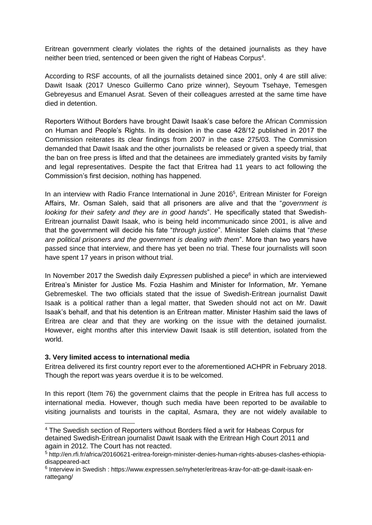Eritrean government clearly violates the rights of the detained journalists as they have neither been tried, sentenced or been given the right of Habeas Corpus<sup>4</sup>.

According to RSF accounts, of all the journalists detained since 2001, only 4 are still alive: Dawit Isaak (2017 Unesco Guillermo Cano prize winner), Seyoum Tsehaye, Temesgen Gebreyesus and Emanuel Asrat. Seven of their colleagues arrested at the same time have died in detention.

Reporters Without Borders have brought Dawit Isaak's case before the African Commission on Human and People's Rights. In its decision in the case 428/12 published in 2017 the Commission reiterates its clear findings from 2007 in the case 275/03. The Commission demanded that Dawit Isaak and the other journalists be released or given a speedy trial, that the ban on free press is lifted and that the detainees are immediately granted visits by family and legal representatives. Despite the fact that Eritrea had 11 years to act following the Commission's first decision, nothing has happened.

In an interview with Radio France International in June 2016<sup>5</sup>, Eritrean Minister for Foreign Affairs, Mr. Osman Saleh, said that all prisoners are alive and that the "*government is looking for their safety and they are in good hands*". He specifically stated that Swedish-Eritrean journalist Dawit Isaak, who is being held incommunicado since 2001, is alive and that the government will decide his fate "*through justice*". Minister Saleh claims that "*these are political prisoners and the government is dealing with them*". More than two years have passed since that interview, and there has yet been no trial. These four journalists will soon have spent 17 years in prison without trial.

In November 2017 the Swedish daily *Expressen* published a piece<sup>6</sup> in which are interviewed Eritrea's Minister for Justice Ms. Fozia Hashim and Minister for Information, Mr. Yemane Gebremeskel. The two officials stated that the issue of Swedish-Eritrean journalist Dawit Isaak is a political rather than a legal matter, that Sweden should not act on Mr. Dawit Isaak's behalf, and that his detention is an Eritrean matter. Minister Hashim said the laws of Eritrea are clear and that they are working on the issue with the detained journalist. However, eight months after this interview Dawit Isaak is still detention, isolated from the world.

#### **3. Very limited access to international media**

-

Eritrea delivered its first country report ever to the aforementioned ACHPR in February 2018. Though the report was years overdue it is to be welcomed.

In this report (Item 76) the government claims that the people in Eritrea has full access to international media. However, though such media have been reported to be available to visiting journalists and tourists in the capital, Asmara, they are not widely available to

<sup>4</sup> The Swedish section of Reporters without Borders filed a writ for Habeas Corpus for detained Swedish-Eritrean journalist Dawit Isaak with the Eritrean High Court 2011 and again in 2012. The Court has not reacted.

<sup>5</sup> http://en.rfi.fr/africa/20160621-eritrea-foreign-minister-denies-human-rights-abuses-clashes-ethiopiadisappeared-act

<sup>&</sup>lt;sup>6</sup> Interview in Swedish : https://www.expressen.se/nyheter/eritreas-krav-for-att-ge-dawit-isaak-enrattegang/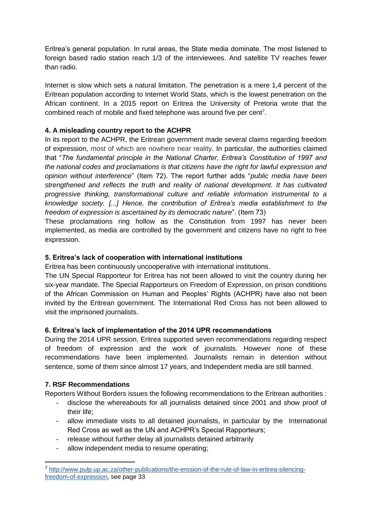Eritrea's general population. In rural areas, the State media dominate. The most listened to foreign based radio station reach 1/3 of the interviewees. And satellite TV reaches fewer than radio.

Internet is slow which sets a natural limitation. The penetration is a mere 1,4 percent of the Eritrean population according to Internet World Stats, which is the lowest penetration on the African continent. In a 2015 report on Eritrea the University of Pretoria wrote that the combined reach of mobile and fixed telephone was around five per cent<sup>7</sup>.

## **4. A misleading country report to the ACHPR**

In its report to the ACHPR, the Eritrean government made several claims regarding freedom of expression, most of which are nowhere near reality. In particular, the authorities claimed that "*The fundamental principle in the National Charter, Eritrea's Constitution of 1997 and the national codes and proclamations is that citizens have the right for lawful expression and opinion without interference*" (Item 72). The report further adds "*public media have been strengthened and reflects the truth and reality of national development. It has cultivated progressive thinking, transformational culture and reliable information instrumental to a knowledge society. [...] Hence, the contribution of Eritrea's media establishment to the freedom of expression is ascertained by its democratic nature*". (Item 73)

These proclamations ring hollow as the Constitution from 1997 has never been implemented, as media are controlled by the government and citizens have no right to free expression.

### **5. Eritrea's lack of cooperation with international institutions**

Eritrea has been continuously uncooperative with international institutions.

The UN Special Rapporteur for Eritrea has not been allowed to visit the country during her six-year mandate. The Special Rapporteurs on Freedom of Expression, on prison conditions of the African Commission on Human and Peoples' Rights (ACHPR) have also not been invited by the Eritrean government. The International Red Cross has not been allowed to visit the imprisoned journalists.

#### **6. Eritrea's lack of implementation of the 2014 UPR recommendations**

During the 2014 UPR session, Eritrea supported seven recommendations regarding respect of freedom of expression and the work of journalists. However none of these recommendations have been implemented. Journalists remain in detention without sentence, some of them since almost 17 years, and Independent media are still banned.

#### **7. RSF Recommendations**

-

Reporters Without Borders issues the following recommendations to the Eritrean authorities :

- disclose the whereabouts for all journalists detained since 2001 and show proof of their life;
- allow immediate visits to all detained journalists, in particular by the International Red Cross as well as the UN and ACHPR's Special Rapporteurs;
- release without further delay all journalists detained arbitrarily
- allow independent media to resume operating;

<sup>7</sup> [http://www.pulp.up.ac.za/other-publications/the-erosion-of-the-rule-of-law-in-eritrea-silencing](http://www.pulp.up.ac.za/other-publications/the-erosion-of-the-rule-of-law-in-eritrea-silencing-freedom-of-expression)[freedom-of-expression,](http://www.pulp.up.ac.za/other-publications/the-erosion-of-the-rule-of-law-in-eritrea-silencing-freedom-of-expression) see page 33